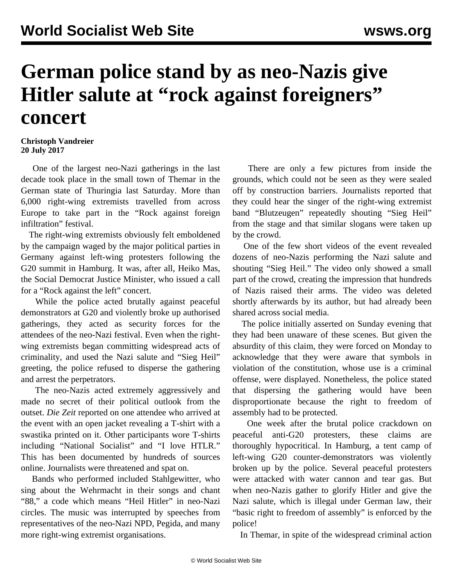## **German police stand by as neo-Nazis give Hitler salute at "rock against foreigners" concert**

## **Christoph Vandreier 20 July 2017**

 One of the largest neo-Nazi gatherings in the last decade took place in the small town of Themar in the German state of Thuringia last Saturday. More than 6,000 right-wing extremists travelled from across Europe to take part in the "Rock against foreign infiltration" festival.

 The right-wing extremists obviously felt emboldened by the campaign waged by the major political parties in Germany against left-wing protesters following the G20 summit in Hamburg. It was, after all, Heiko Mas, the Social Democrat Justice Minister, who issued a call for a "Rock against the left" concert.

 While the police acted brutally against peaceful demonstrators at G20 and violently broke up authorised gatherings, they acted as security forces for the attendees of the neo-Nazi festival. Even when the rightwing extremists began committing widespread acts of criminality, and used the Nazi salute and "Sieg Heil" greeting, the police refused to disperse the gathering and arrest the perpetrators.

 The neo-Nazis acted extremely aggressively and made no secret of their political outlook from the outset. *Die Zeit* reported on one attendee who arrived at the event with an open jacket revealing a T-shirt with a swastika printed on it. Other participants wore T-shirts including "National Socialist" and "I love HTLR." This has been documented by hundreds of sources online. Journalists were threatened and spat on.

 Bands who performed included Stahlgewitter, who sing about the Wehrmacht in their songs and chant "88," a code which means "Heil Hitler" in neo-Nazi circles. The music was interrupted by speeches from representatives of the neo-Nazi NPD, Pegida, and many more right-wing extremist organisations.

 There are only a few pictures from inside the grounds, which could not be seen as they were sealed off by construction barriers. Journalists reported that they could hear the singer of the right-wing extremist band "Blutzeugen" repeatedly shouting "Sieg Heil" from the stage and that similar slogans were taken up by the crowd.

 One of the few short videos of the event revealed dozens of neo-Nazis performing the Nazi salute and shouting "Sieg Heil." The video only showed a small part of the crowd, creating the impression that hundreds of Nazis raised their arms. The video was deleted shortly afterwards by its author, but had already been shared across social media.

 The police initially asserted on Sunday evening that they had been unaware of these scenes. But given the absurdity of this claim, they were forced on Monday to acknowledge that they were aware that symbols in violation of the constitution, whose use is a criminal offense, were displayed. Nonetheless, the police stated that dispersing the gathering would have been disproportionate because the right to freedom of assembly had to be protected.

 One week after the brutal police crackdown on peaceful anti-G20 protesters, these claims are thoroughly hypocritical. In Hamburg, a tent camp of left-wing G20 counter-demonstrators was violently broken up by the police. Several peaceful protesters were attacked with water cannon and tear gas. But when neo-Nazis gather to glorify Hitler and give the Nazi salute, which is illegal under German law, their "basic right to freedom of assembly" is enforced by the police!

In Themar, in spite of the widespread criminal action